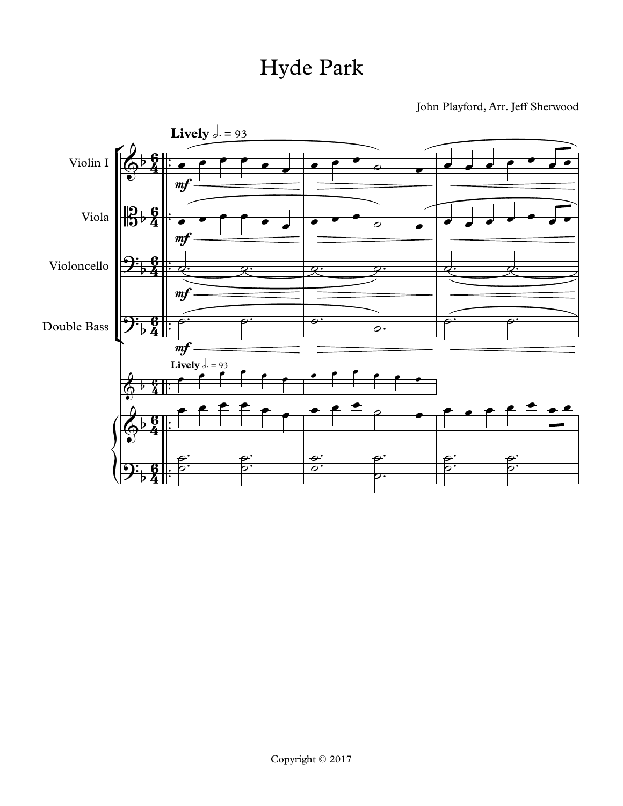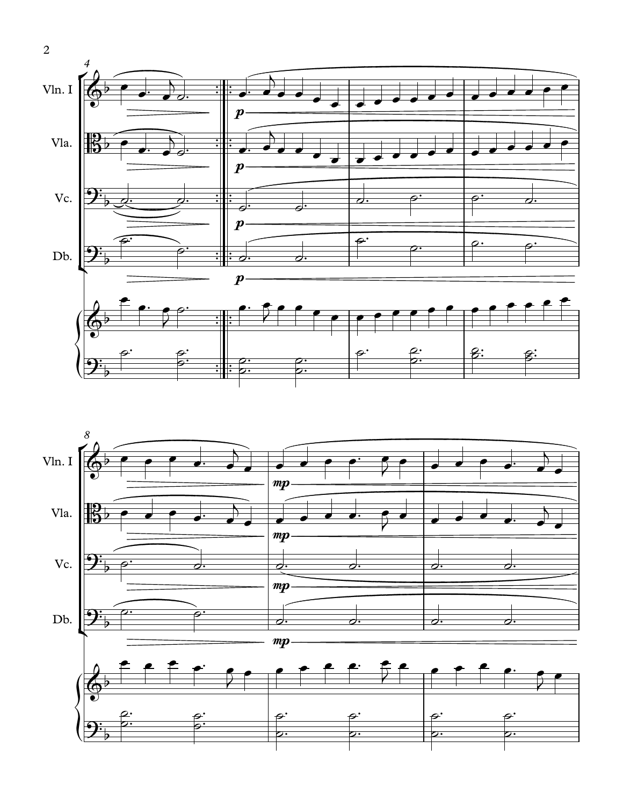

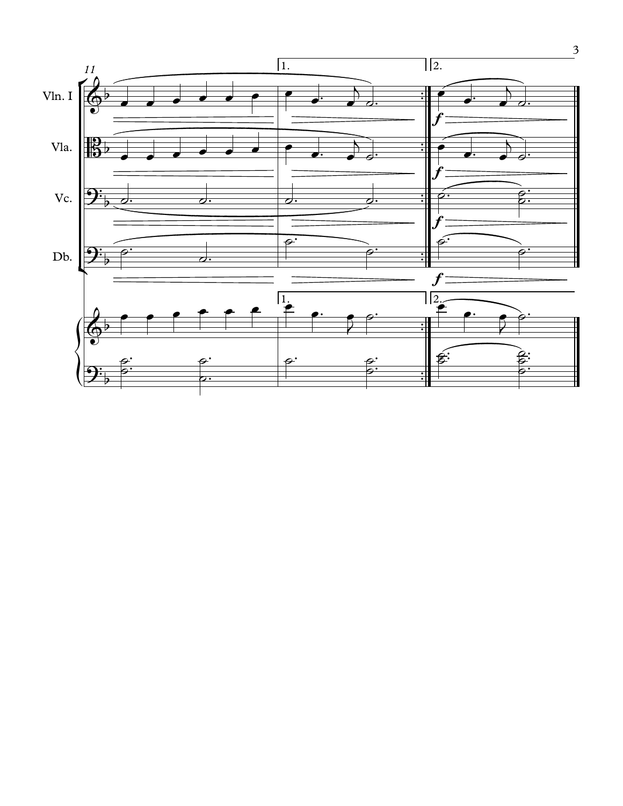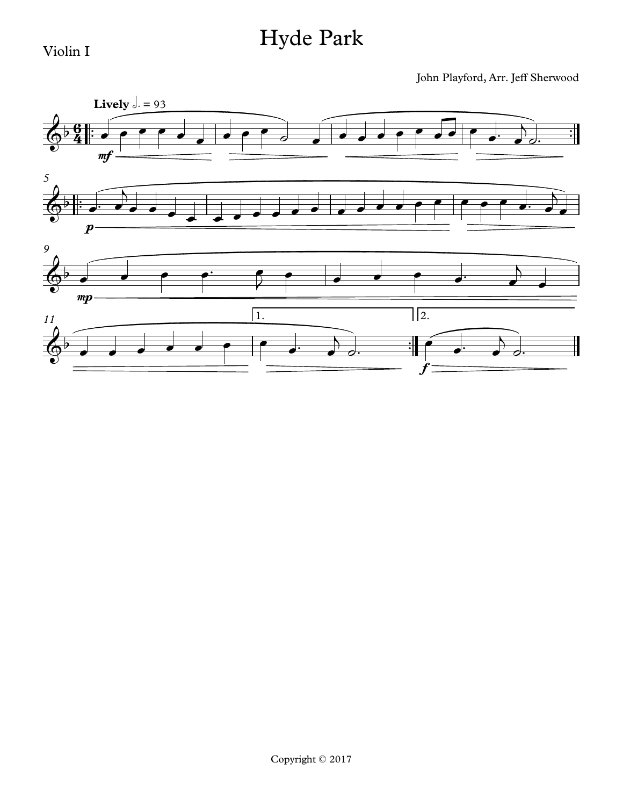Violin I

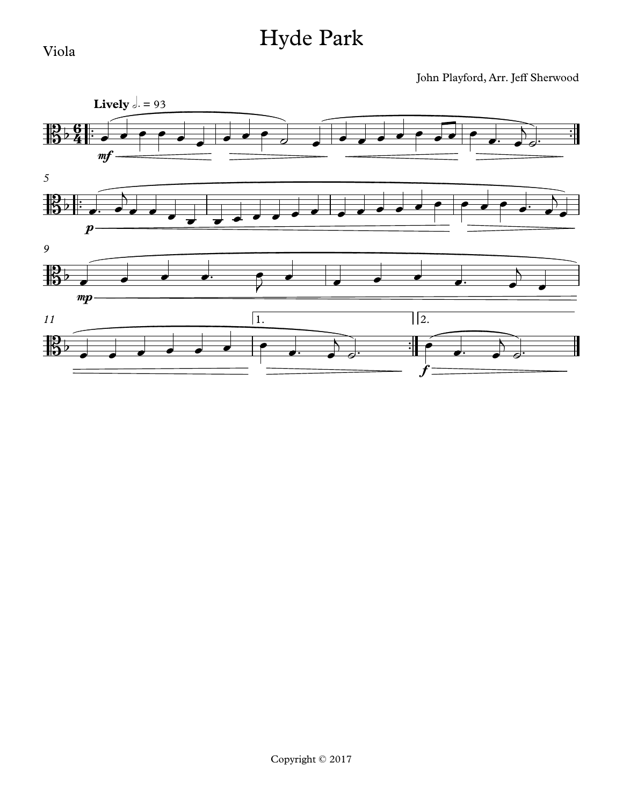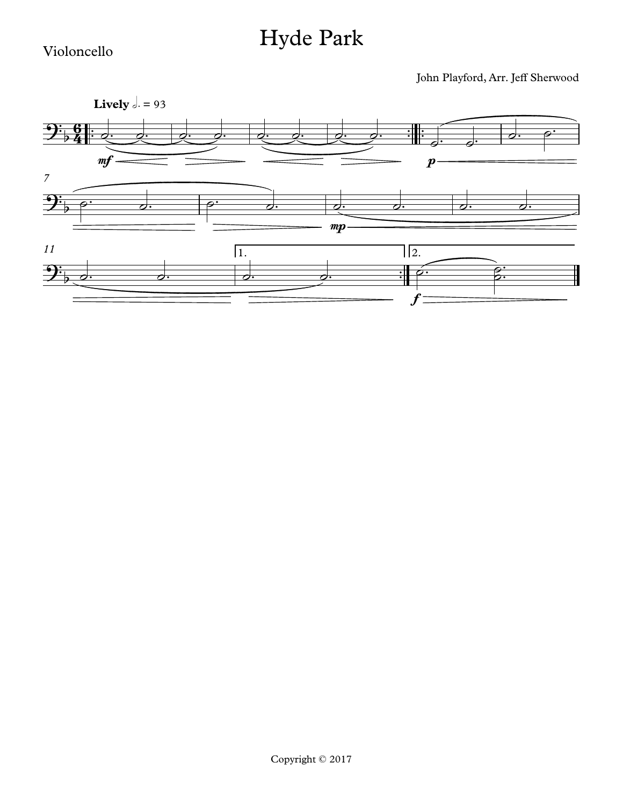#### Violoncello

### Hyde Park

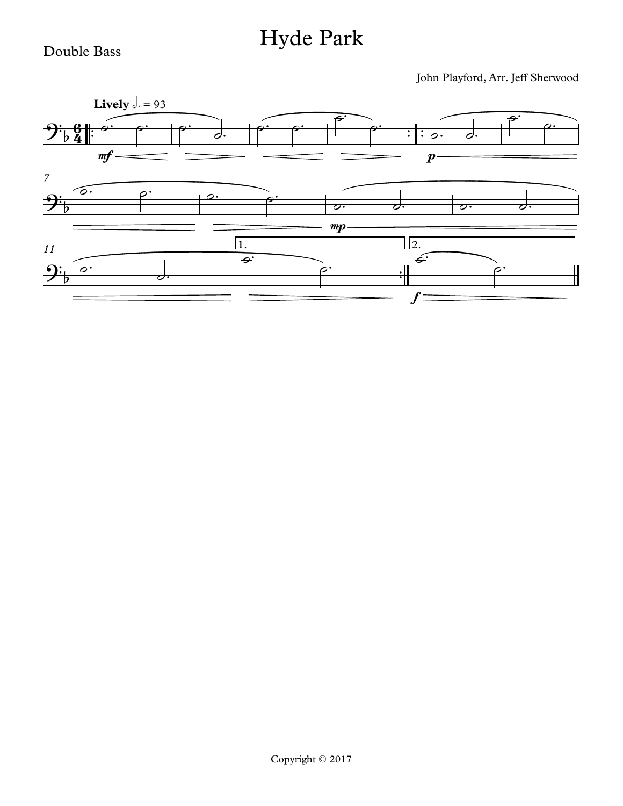Double Bass